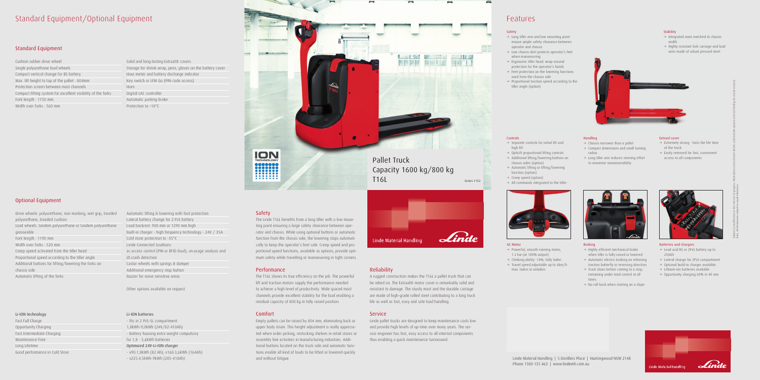# Standard Equipment/Optional Equipment

# Standard Equipment

Cushion rubber drive wheel Single polyurethane load wheels Compact vertical change for BS battery Max. lift height to top of the pallet : 804mm Protection screen between mast channels Compact lifting system for excellent visibility of the forks Fork length : 1150 mm Width over forks : 560 mm

# Optional Equipment

Drive wheels: polyurethane, non-marking, wet grip, treaded polyurethane, treaded cushion Load wheels: tandem polyurethane or tandem polyurethane greaseable Fork length : 1190 mm Width over forks : 520 mm Creep speed activated from the tiller head Proportional speed according to the tiller angle Additional buttons for lifting/lowering the forks on chassis side Automatic lifting of the forks

# Li-ION technology

Fast Full Charge Opportunity Charging Fast Intermediate Charging Maintenance Free Long Lifetime Good performance in Cold Store

Solid and long-lasting Extraal® covers Storage for shrink wrap, pens, gloves on the battery cover Hour meter and battery discharge indicator Key switch or LFM Go (PIN-code access) Horn Digital LAC controller Automatic parking brake Protection to –10°C

Automatic lifting & lowering with foot protection Lateral battery change for 2 PzS battery Load backrest: 900 mm or 1290 mm high Built-in charger - high frequency technology - 24V / 35A Cold store protection to -35°C Linde Connected Soultions: ac:access control (PIN or RFID Dual), an:usage analysis and dt:crash detection Castor wheels with springs & damper Additional emergency stop button Buzzer for noise sensitive areas

Other options available on request.

### Li-ION batteries

- fits in 2 PzS-SL compartment: 1,8kWh-9,0kWh (24V/82-410Ah) - Battery housing extra weight compulsory for 1,8 - 3,6kWh batteries Optimized 24V-Li-ION charger - v90:1,8kWh (82 Ah); v160:3,6kWh (164Ah) - v225:4,5kWh-9kWh (205-410Ah)

- $\rightarrow$  Powerful, smooth-running motor, 1.2 kw (at 100% output)
- $\rightarrow$  Climbing ability -14%, fully laden
- $\rightarrow$  Travel speed adjustable up to 6km/h max. laden or unladen



# Safety

The Linde T16L benefits from a long tiller with a low mounting point ensuring a large safety clearance between operator and chassis. While using optional buttons or automatic function from the chassis side, the lowering stops automatically to keep the operator's feet safe. Creep speed and proportional speed functions, available as options, provide optimum safety while travelling or manoeuvring in tight corners.

- $\rightarrow$  Extremely strong lasts the life time of the truck
- $\rightarrow$  Easily removed for fast, convenient access to all components



# Performance

The T16L shows its true efficiency on the job. The powerful lift and traction motors supply the performance needed to achieve a high level of productivity. Wide spaced mast channels provide excellent stability for the load enabling a residual capacity of 800 kg in fully raised position.

- $\rightarrow$  Integrated mast matched to chassis width
- $\rightarrow$  Highly resistant fork carriage and load arms made of robust pressed steel



- $\rightarrow$  Chassis narrower than a pallet
- $\rightarrow$  Compact dimensions and small turning radius
- $\rightarrow$  Long tiller arm reduces steering effort to maximise manoeuvrability

# Comfort

- $\rightarrow$  Long tiller arm and low mounting point ensure ample safety clearance between operator and chassis
- $\rightarrow$  Low chassis skirt protects operator's feet when manoeuvring
- $\rightarrow$  Ergonomic tiller head: wrap-around protection for the operator's hands
- $\rightarrow$  Feet protection on the lowering functions used from the chassis side
- $\rightarrow$  Proportional traction speed according to the tiller angle (option)

Linde Material Handling | 5 Distillers Place | Huntingwood NSW 2148 Phone 1300 135 463 | www.lindemh.com.au

Empty pallets can be raised by 804 mm, eliminating back or upper body strain. This height adjustment is really appreciated when order picking, restocking shelves in retail stores or assembly line activities in manufacturing industries. Additional buttons located on the truck side and automatic functions enable all kind of loads to be lifted or lowered quickly and without fatigue.



# Reliability

A rugged construction makes the T16L a pallet truck that can be relied on. The Extraal® motor cover is remarkably solid and resistant to damage. The sturdy mast and the durable carriage are made of high-grade rolled steel contributing to a long truck life as well as fast, easy and safe load handling.

# **Service**

Linde pallet trucks are designed to keep maintenance costs low and provide high levels of up-time over many years. The service engineer has fast, easy access to all internal components thus enabling a quick maintenance turnaround.

# Features

### AC Motor

# Controls

- $\rightarrow$  Separate controls for initial lift and high lift
- $\rightarrow$  OptiLift proportional lifting controls
- $\rightarrow$  Additional lifting/lowering buttons on chassis sides (option)
- $\rightarrow$  Automatic lifting or lifting/lowering function (option)
- $\rightarrow$  Creep speed (option)
- $\rightarrow$  All commands integrated to the tiller



### Braking

- $\rightarrow$  Highly efficient mechanical brake when tiller is fully raised or lowered
- $\rightarrow$  Automatic electric braking on releasing traction butterfly or reversing direction
- $\rightarrow$  Truck slows before coming to a stop, remaining under total control at all times
- $\rightarrow$  No roll-back when starting on a slope



### Extraal cover

# Batteries and chargers

- $\rightarrow$  Lead acid BS or 2PzS battery up to 250Ah
- $\rightarrow$  Lateral change for 2PzS compartment
- $\rightarrow$  Optional build-in charger available
- $\rightarrow$  Lithium-ion batteries available
- $\rightarrow$  Opportunity charging 60% in 40 min



tions. All dimensions subject to usual tolerances.



# Handling

# Safety